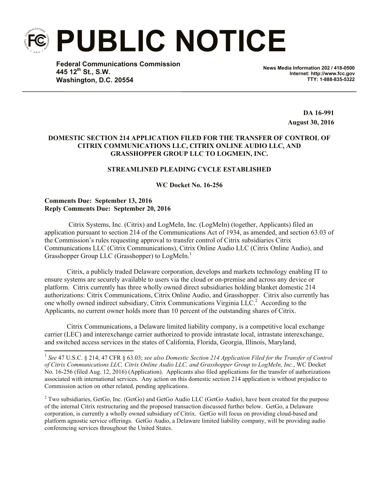**PUBLIC NOTICE**

**Federal Communications Commission 445 12th St., S.W. Washington, D.C. 20554**

**News Media Information 202 / 418-0500 Internet: http://www.fcc.gov TTY: 1-888-835-5322**

> **DA 16-991 August 30, 2016**

# **DOMESTIC SECTION 214 APPLICATION FILED FOR THE TRANSFER OF CONTROL OF CITRIX COMMUNICATIONS LLC, CITRIX ONLINE AUDIO LLC, AND GRASSHOPPER GROUP LLC TO LOGMEIN, INC.**

## **STREAMLINED PLEADING CYCLE ESTABLISHED**

**WC Docket No. 16-256**

## **Comments Due: September 13, 2016 Reply Comments Due: September 20, 2016**

l

Citrix Systems, Inc. (Citrix) and LogMeIn, Inc. (LogMeIn) (together, Applicants) filed an application pursuant to section 214 of the Communications Act of 1934, as amended, and section 63.03 of the Commission's rules requesting approval to transfer control of Citrix subsidiaries Citrix Communications LLC (Citrix Communications), Citrix Online Audio LLC (Citrix Online Audio), and Grasshopper Group LLC (Grasshopper) to LogMeIn.<sup>1</sup>

Citrix, a publicly traded Delaware corporation, develops and markets technology enabling IT to ensure systems are securely available to users via the cloud or on-premise and across any device or platform. Citrix currently has three wholly owned direct subsidiaries holding blanket domestic 214 authorizations: Citrix Communications, Citrix Online Audio, and Grasshopper. Citrix also currently has one wholly owned indirect subsidiary, Citrix Communications Virginia LLC.<sup>2</sup> According to the Applicants, no current owner holds more than 10 percent of the outstanding shares of Citrix.

Citrix Communications, a Delaware limited liability company, is a competitive local exchange carrier (LEC) and interexchange carrier authorized to provide intrastate local, intrastate interexchange, and switched access services in the states of California, Florida, Georgia, Illinois, Maryland,

<sup>2</sup> Two subsidiaries, GetGo, Inc. (GetGo) and GetGo Audio LLC (GetGo Audio), have been created for the purpose of the internal Citrix restructuring and the proposed transaction discussed further below. GetGo, a Delaware corporation, is currently a wholly owned subsidiary of Citrix. GetGo will focus on providing cloud-based and platform agnostic service offerings. GetGo Audio, a Delaware limited liability company, will be providing audio conferencing services throughout the United States.

<sup>&</sup>lt;sup>1</sup> See 47 U.S.C. § 214; 47 CFR § 63.03; see also Domestic Section 214 Application Filed for the Transfer of Control *of Citrix Communications LLC, Citrix Online Audio LLC, and Grasshopper Group to LogMeIn, Inc.*, WC Docket No. 16-256 (filed Aug. 12, 2016) (Application). Applicants also filed applications for the transfer of authorizations associated with international services. Any action on this domestic section 214 application is without prejudice to Commission action on other related, pending applications.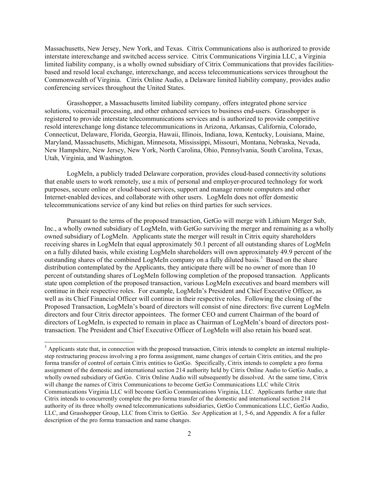Massachusetts, New Jersey, New York, and Texas. Citrix Communications also is authorized to provide interstate interexchange and switched access service. Citrix Communications Virginia LLC, a Virginia limited liability company, is a wholly owned subsidiary of Citrix Communications that provides facilitiesbased and resold local exchange, interexchange, and access telecommunications services throughout the Commonwealth of Virginia. Citrix Online Audio, a Delaware limited liability company, provides audio conferencing services throughout the United States.

Grasshopper, a Massachusetts limited liability company, offers integrated phone service solutions, voicemail processing, and other enhanced services to business end-users. Grasshopper is registered to provide interstate telecommunications services and is authorized to provide competitive resold interexchange long distance telecommunications in Arizona, Arkansas, California, Colorado, Connecticut, Delaware, Florida, Georgia, Hawaii, Illinois, Indiana, Iowa, Kentucky, Louisiana, Maine, Maryland, Massachusetts, Michigan, Minnesota, Mississippi, Missouri, Montana, Nebraska, Nevada, New Hampshire, New Jersey, New York, North Carolina, Ohio, Pennsylvania, South Carolina, Texas, Utah, Virginia, and Washington.

LogMeIn, a publicly traded Delaware corporation, provides cloud-based connectivity solutions that enable users to work remotely, use a mix of personal and employer-procured technology for work purposes, secure online or cloud-based services, support and manage remote computers and other Internet-enabled devices, and collaborate with other users. LogMeIn does not offer domestic telecommunications service of any kind but relies on third parties for such services.

Pursuant to the terms of the proposed transaction, GetGo will merge with Lithium Merger Sub, Inc., a wholly owned subsidiary of LogMeIn, with GetGo surviving the merger and remaining as a wholly owned subsidiary of LogMeIn. Applicants state the merger will result in Citrix equity shareholders receiving shares in LogMeIn that equal approximately 50.1 percent of all outstanding shares of LogMeIn on a fully diluted basis, while existing LogMeIn shareholders will own approximately 49.9 percent of the outstanding shares of the combined LogMeIn company on a fully diluted basis.<sup>3</sup> Based on the share distribution contemplated by the Applicants, they anticipate there will be no owner of more than 10 percent of outstanding shares of LogMeIn following completion of the proposed transaction. Applicants state upon completion of the proposed transaction, various LogMeIn executives and board members will continue in their respective roles. For example, LogMeIn's President and Chief Executive Officer, as well as its Chief Financial Officer will continue in their respective roles. Following the closing of the Proposed Transaction, LogMeIn's board of directors will consist of nine directors: five current LogMeIn directors and four Citrix director appointees. The former CEO and current Chairman of the board of directors of LogMeIn, is expected to remain in place as Chairman of LogMeIn's board of directors posttransaction. The President and Chief Executive Officer of LogMeIn will also retain his board seat.

 $\overline{a}$ 

<sup>&</sup>lt;sup>3</sup> Applicants state that, in connection with the proposed transaction, Citrix intends to complete an internal multiplestep restructuring process involving a pro forma assignment, name changes of certain Citrix entities, and the pro forma transfer of control of certain Citrix entities to GetGo. Specifically, Citrix intends to complete a pro forma assignment of the domestic and international section 214 authority held by Citrix Online Audio to GetGo Audio, a wholly owned subsidiary of GetGo. Citrix Online Audio will subsequently be dissolved. At the same time, Citrix will change the names of Citrix Communications to become GetGo Communications LLC while Citrix Communications Virginia LLC will become GetGo Communications Virginia, LLC. Applicants further state that Citrix intends to concurrently complete the pro forma transfer of the domestic and international section 214 authority of its three wholly owned telecommunications subsidiaries, GetGo Communications LLC, GetGo Audio, LLC, and Grasshopper Group, LLC from Citrix to GetGo. *See* Application at 1, 5-6, and Appendix A for a fuller description of the pro forma transaction and name changes.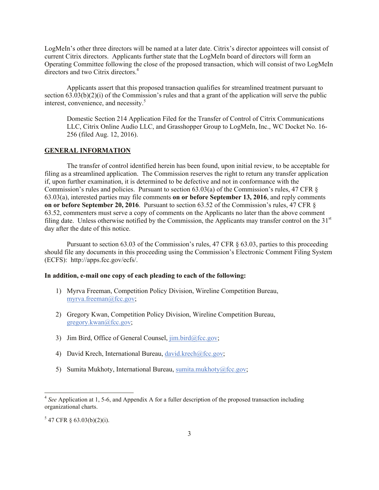LogMeIn's other three directors will be named at a later date. Citrix's director appointees will consist of current Citrix directors. Applicants further state that the LogMeIn board of directors will form an Operating Committee following the close of the proposed transaction, which will consist of two LogMeIn directors and two Citrix directors.<sup>4</sup>

Applicants assert that this proposed transaction qualifies for streamlined treatment pursuant to section 63.03(b)(2)(i) of the Commission's rules and that a grant of the application will serve the public interest, convenience, and necessity.<sup>5</sup>

Domestic Section 214 Application Filed for the Transfer of Control of Citrix Communications LLC, Citrix Online Audio LLC, and Grasshopper Group to LogMeIn, Inc., WC Docket No. 16- 256 (filed Aug. 12, 2016).

#### **GENERAL INFORMATION**

The transfer of control identified herein has been found, upon initial review, to be acceptable for filing as a streamlined application. The Commission reserves the right to return any transfer application if, upon further examination, it is determined to be defective and not in conformance with the Commission's rules and policies. Pursuant to section 63.03(a) of the Commission's rules, 47 CFR § 63.03(a), interested parties may file comments **on or before September 13, 2016**, and reply comments **on or before September 20, 2016**. Pursuant to section 63.52 of the Commission's rules, 47 CFR § 63.52, commenters must serve a copy of comments on the Applicants no later than the above comment filing date. Unless otherwise notified by the Commission, the Applicants may transfer control on the 31<sup>st</sup> day after the date of this notice.

Pursuant to section 63.03 of the Commission's rules, 47 CFR § 63.03, parties to this proceeding should file any documents in this proceeding using the Commission's Electronic Comment Filing System (ECFS): http://apps.fcc.gov/ecfs/.

#### **In addition, e-mail one copy of each pleading to each of the following:**

- 1) Myrva Freeman, Competition Policy Division, Wireline Competition Bureau, myrva.freeman@fcc.gov;
- 2) Gregory Kwan, Competition Policy Division, Wireline Competition Bureau, gregory.kwan@fcc.gov;
- 3) Jim Bird, Office of General Counsel,  $\lim_{h \to 0} \frac{\text{bird}(\partial \text{fcc.gov})}{\text{dot}(\partial \text{fcc.gov})}$
- 4) David Krech, International Bureau, david.krech@fcc.gov;
- 5) Sumita Mukhoty, International Bureau, sumita.mukhoty@fcc.gov;

l

<sup>&</sup>lt;sup>4</sup> See Application at 1, 5-6, and Appendix A for a fuller description of the proposed transaction including organizational charts.

 $5$  47 CFR § 63.03(b)(2)(i).